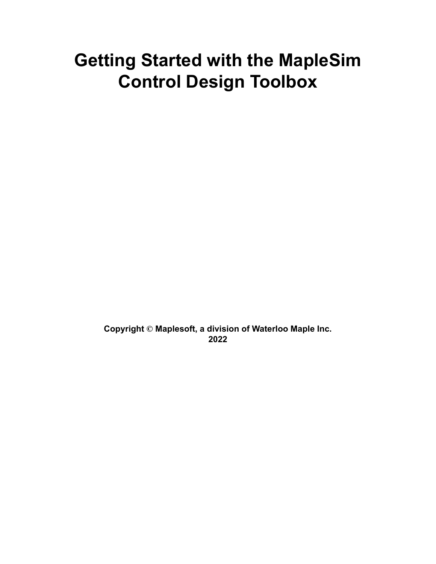# **Getting Started with the MapleSim Control Design Toolbox**

**Copyright © Maplesoft, a division of Waterloo Maple Inc. 2022**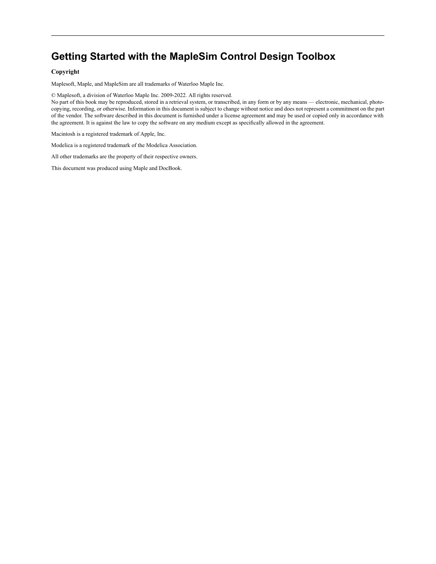## **Getting Started with the MapleSim Control Design Toolbox**

#### **Copyright**

Maplesoft, Maple, and MapleSim are all trademarks of Waterloo Maple Inc.

© Maplesoft, a division of Waterloo Maple Inc. 2009-2022. All rights reserved.

No part of this book may be reproduced, stored in a retrieval system, or transcribed, in any form or by any means — electronic, mechanical, photocopying, recording, or otherwise. Information in this document is subject to change without notice and does not represent a commitment on the part of the vendor. The software described in this document is furnished under a license agreement and may be used or copied only in accordance with the agreement. It is against the law to copy the software on any medium except as specifically allowed in the agreement.

Macintosh is a registered trademark of Apple, Inc.

Modelica is a registered trademark of the Modelica Association.

All other trademarks are the property of their respective owners.

This document was produced using Maple and DocBook.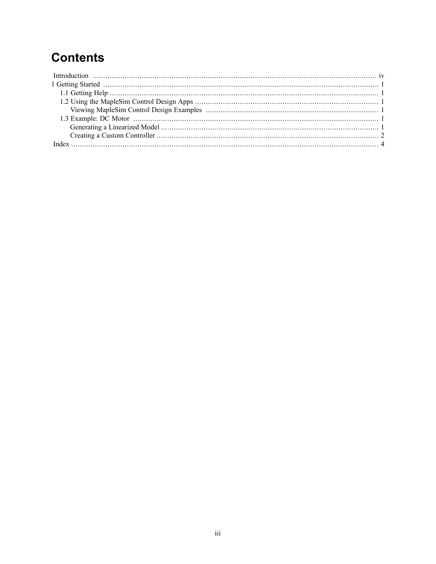## **Contents**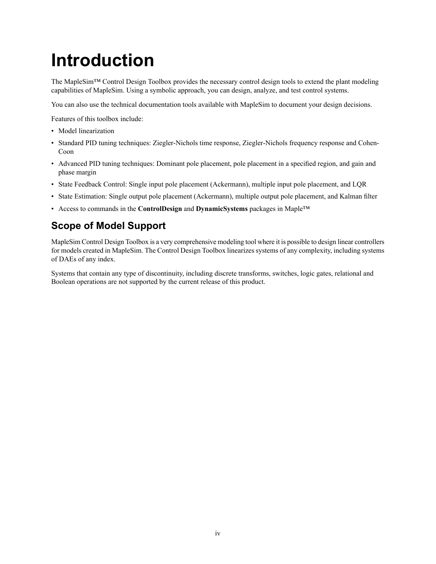# <span id="page-3-0"></span>**Introduction**

The MapleSim™ Control Design Toolbox provides the necessary control design tools to extend the plant modeling capabilities of MapleSim. Using a symbolic approach, you can design, analyze, and test control systems.

You can also use the technical documentation tools available with MapleSim to document your design decisions.

Features of this toolbox include:

- Model linearization
- Standard PID tuning techniques: Ziegler-Nichols time response, Ziegler-Nichols frequency response and Cohen-Coon
- Advanced PID tuning techniques: Dominant pole placement, pole placement in a specified region, and gain and phase margin
- <span id="page-3-1"></span>• State Feedback Control: Single input pole placement (Ackermann), multiple input pole placement, and LQR
- State Estimation: Single output pole placement (Ackermann), multiple output pole placement, and Kalman filter
- Access to commands in the **ControlDesign** and **DynamicSystems** packages in Maple™

## **Scope of Model Support**

MapleSim Control Design Toolbox is a very comprehensive modeling tool where it is possible to design linear controllers for models created in MapleSim. The Control Design Toolbox linearizes systems of any complexity, including systems of DAEs of any index.

Systems that contain any type of discontinuity, including discrete transforms, switches, logic gates, relational and Boolean operations are not supported by the current release of this product.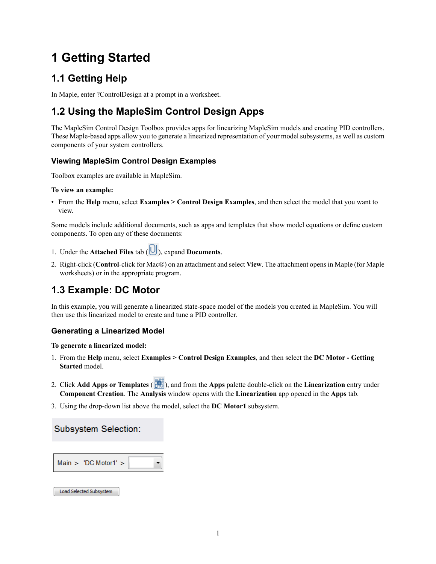## <span id="page-4-0"></span>**1 Getting Started**

## <span id="page-4-1"></span>**1.1 Getting Help**

<span id="page-4-8"></span><span id="page-4-2"></span>In Maple, enter ?ControlDesign at a prompt in a worksheet.

## <span id="page-4-6"></span>**1.2 Using the MapleSim Control Design Apps**

<span id="page-4-3"></span>The MapleSim Control Design Toolbox provides apps for linearizing MapleSim models and creating PID controllers. These Maple-based apps allow you to generate a linearized representation of your modelsubsystems, as well as custom components of your system controllers.

#### <span id="page-4-7"></span>**Viewing MapleSim Control Design Examples**

Toolbox examples are available in MapleSim.

#### **To view an example:**

• From the **Help** menu, select **Examples > Control Design Examples**, and then select the model that you want to view.

Some models include additional documents, such as apps and templates that show model equations or define custom components. To open any of these documents:

- 1. Under the **Attached Files** tab  $(\bigcup_{n=1}^{\infty}$ , expand **Documents**.
- <span id="page-4-4"></span>2. Right-click (**Control**-click for Mac®) on an attachment and select **View**. The attachment opensin Maple (for Maple worksheets) or in the appropriate program.

## <span id="page-4-5"></span>**1.3 Example: DC Motor**

<span id="page-4-9"></span>In this example, you will generate a linearized state-space model of the models you created in MapleSim. You will then use this linearized model to create and tune a PID controller.

#### **Generating a Linearized Model**

#### <span id="page-4-10"></span>**To generate a linearized model:**

- 1. From the **Help** menu, select **Examples > Control Design Examples**, and then select the **DC Motor - Getting Started** model.
- 2. Click **Add Apps or Templates** ( ), and from the **Apps** palette double-click on the **Linearization** entry under **Component Creation**. The **Analysis** window opens with the **Linearization** app opened in the **Apps** tab.
- 3. Using the drop-down list above the model, select the **DC Motor1** subsystem.

#### Subsystem Selection:

| Main > 'DC Motor1' |  |  |
|--------------------|--|--|
|--------------------|--|--|

#### Load Selected Subsystem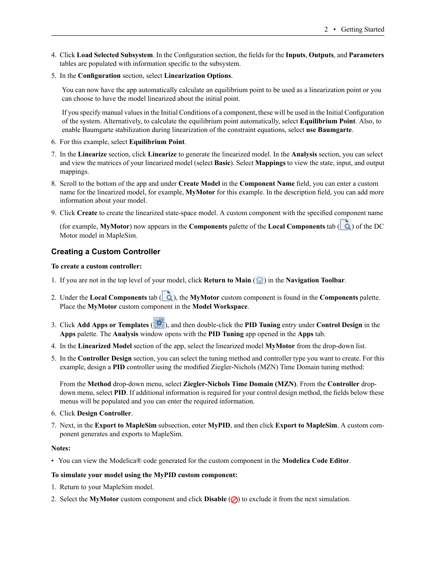- 4. Click **Load Selected Subsystem**. In the Configuration section, the fields for the **Inputs**, **Outputs**, and **Parameters** tables are populated with information specific to the subsystem.
- <span id="page-5-1"></span>5. In the **Configuration** section, select **Linearization Options**.

You can now have the app automatically calculate an equilibrium point to be used as a linearization point or you can choose to have the model linearized about the initial point.

If you specify manual valuesin the Initial Conditions of a component, these will be used in the Initial Configuration of the system. Alternatively, to calculate the equilibrium point automatically, select **Equilibrium Point**. Also, to enable Baumgarte stabilization during linearization of the constraint equations, select **use Baumgarte**.

- 6. For this example, select **Equilibrium Point**.
- 7. In the **Linearize** section, click **Linearize** to generate the linearized model. In the **Analysis** section, you can select and view the matrices of your linearized model (select **Basic**). Select **Mappings** to view the state, input, and output mappings.
- 8. Scroll to the bottom of the app and under **Create Model** in the **Component Name** field, you can enter a custom name for the linearized model, for example, **MyMotor** for this example. In the description field, you can add more information about your model.
- <span id="page-5-0"></span>9. Click **Create** to create the linearized state-space model. A custom component with the specified component name

<span id="page-5-2"></span>(for example, **MyMotor**) now appears in the **Components** palette of the **Local Components** tab ( ) of the DC Motor model in MapleSim.

#### **Creating a Custom Controller**

#### **To create a custom controller:**

- <span id="page-5-3"></span>1. If you are not in the top level of your model, click **Return to Main** ( ) in the **Navigation Toolbar**.
- 2. Under the **Local Components** tab (  $\dot{Q}$ ), the **MyMotor** custom component is found in the **Components** palette. Place the **MyMotor** custom component in the **Model Workspace**.
- 3. Click **Add Apps or Templates** ( ), and then double-click the **PID Tuning** entry under **Control Design** in the **Apps** palette. The **Analysis** window opens with the **PID Tuning** app opened in the **Apps** tab.
- 4. In the **Linearized Model** section of the app, select the linearized model **MyMotor** from the drop-down list.
- 5. In the **Controller Design** section, you can select the tuning method and controller type you want to create. For this example, design a **PID** controller using the modified Ziegler-Nichols (MZN) Time Domain tuning method:

From the **Method** drop-down menu, select **Ziegler-Nichols Time Domain (MZN)**. From the **Controller** dropdown menu, select **PID**. If additional information is required for your control design method, the fields below these menus will be populated and you can enter the required information.

- 6. Click **Design Controller**.
- 7. Next, in the **Export to MapleSim** subsection, enter **MyPID**, and then click **Export to MapleSim**. A custom component generates and exports to MapleSim.

#### **Notes:**

• You can view the Modelica® code generated for the custom component in the **Modelica Code Editor**.

#### **To simulate your model using the MyPID custom component:**

- 1. Return to your MapleSim model.
- 2. Select the **MyMotor** custom component and click **Disable**  $\emptyset$  to exclude it from the next simulation.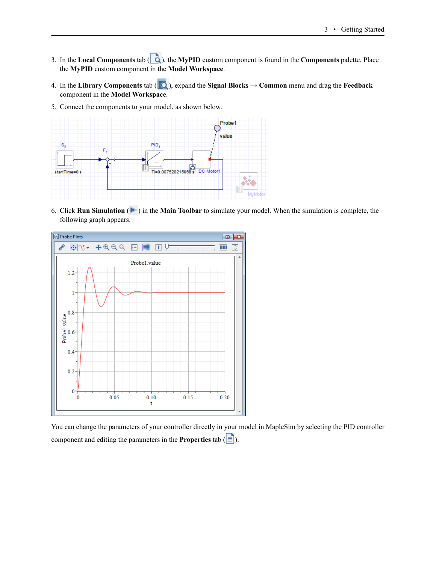- 3. In the **Local Components** tab  $\left(\begin{array}{c} \bullet \\ \bullet \end{array}\right)$ , the **MyPID** custom component is found in the **Components** palette. Place the **MyPID** custom component in the **Model Workspace**.
- 4. In the **Library Components** tab ( $\mathbb{Q}$ ), expand the **Signal Blocks**  $\rightarrow$  **Common** menu and drag the **Feedback** component in the **Model Workspace**.
- 5. Connect the components to your model, as shown below.



<span id="page-6-0"></span>6. Click **Run Simulation** ( ) in the **Main Toolbar** to simulate your model. When the simulation is complete, the following graph appears.



You can change the parameters of your controller directly in your model in MapleSim by selecting the PID controller component and editing the parameters in the **Properties** tab  $(\equiv)$ .